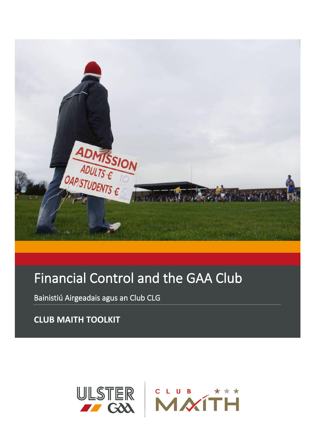

# Financial Control and the GAA Club

Bainistiú Airgeadais agus an Club CLG

**CLUB MAITH TOOLKIT**

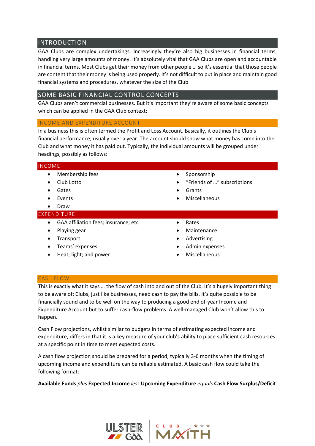# INTRODUCTION

GAA Clubs are complex undertakings. Increasingly they're also big businesses in financial terms, handling very large amounts of money. It's absolutely vital that GAA Clubs are open and accountable in financial terms. Most Clubs get their money from other people … so it's essential that those people are content that their money is being used properly. It's not difficult to put in place and maintain good financial systems and procedures, whatever the size of the Club

# SOME BASIC FINANCIAL CONTROL CONCEPTS

GAA Clubs aren't commercial businesses. But it's important they're aware of some basic concepts which can be applied in the GAA Club context:

## INCOME AND EXPENDITURE ACCOUNT

In a business this is often termed the Profit and Loss Account. Basically, it outlines the Club's financial performance, usually over a year. The account should show what money has come into the Club and what money it has paid out. Typically, the individual amounts will be grouped under headings, possibly as follows:

## INCOME

- Membership fees
- Club Lotto
- Gates
- Events
- Draw

## EXPENDITURE

- GAA affiliation fees; insurance; etc
- Playing gear
- Transport
- Teams' expenses
- Heat; light; and power
- **Sponsorship**
- "Friends of …" subscriptions
- **Grants**
- **Miscellaneous**
- Rates
- **Maintenance**
- **Advertising**
- Admin expenses
- **Miscellaneous**

#### CASH FLOW

This is exactly what it says … the flow of cash into and out of the Club. It's a hugely important thing to be aware of: Clubs, just like businesses, need cash to pay the bills. It's quite possible to be financially sound and to be well on the way to producing a good end of-year Income and Expenditure Account but to suffer cash-flow problems. A well-managed Club won't allow this to happen.

Cash Flow projections, whilst similar to budgets in terms of estimating expected income and expenditure, differs in that it is a key measure of your club's ability to place sufficient cash resources at a specific point in time to meet expected costs.

A cash flow projection should be prepared for a period, typically 3-6 months when the timing of upcoming income and expenditure can be reliable estimated. A basic cash flow could take the following format:

**Available Funds** *plus* **Expected Income** *less* **Upcoming Expenditure** *equals* **Cash Flow Surplus/Deficit** 



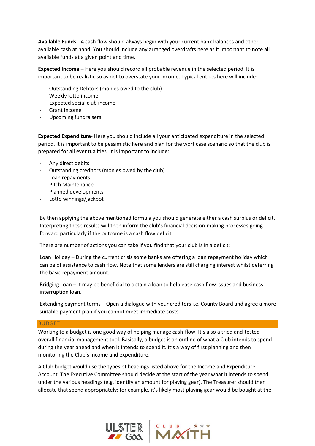**Available Funds** - A cash flow should always begin with your current bank balances and other available cash at hand. You should include any arranged overdrafts here as it important to note all available funds at a given point and time.

**Expected Income** – Here you should record all probable revenue in the selected period. It is important to be realistic so as not to overstate your income. Typical entries here will include:

- Outstanding Debtors (monies owed to the club)
- Weekly lotto income
- Expected social club income
- Grant income
- Upcoming fundraisers

**Expected Expenditure**- Here you should include all your anticipated expenditure in the selected period. It is important to be pessimistic here and plan for the wort case scenario so that the club is prepared for all eventualities. It is important to include:

- Any direct debits
- Outstanding creditors (monies owed by the club)
- Loan repayments
- Pitch Maintenance
- Planned developments
- Lotto winnings/jackpot

By then applying the above mentioned formula you should generate either a cash surplus or deficit. Interpreting these results will then inform the club's financial decision-making processes going forward particularly if the outcome is a cash flow deficit.

There are number of actions you can take if you find that your club is in a deficit:

Loan Holiday – During the current crisis some banks are offering a loan repayment holiday which can be of assistance to cash flow. Note that some lenders are still charging interest whilst deferring the basic repayment amount.

Bridging Loan – It may be beneficial to obtain a loan to help ease cash flow issues and business interruption loan.

Extending payment terms – Open a dialogue with your creditors i.e. County Board and agree a more suitable payment plan if you cannot meet immediate costs.

#### BUDGET

Working to a budget is one good way of helping manage cash-flow. It's also a tried and-tested overall financial management tool. Basically, a budget is an outline of what a Club intends to spend during the year ahead and when it intends to spend it. It's a way of first planning and then monitoring the Club's income and expenditure.

A Club budget would use the types of headings listed above for the Income and Expenditure Account. The Executive Committee should decide at the start of the year what it intends to spend under the various headings (e.g. identify an amount for playing gear). The Treasurer should then allocate that spend appropriately: for example, it's likely most playing gear would be bought at the

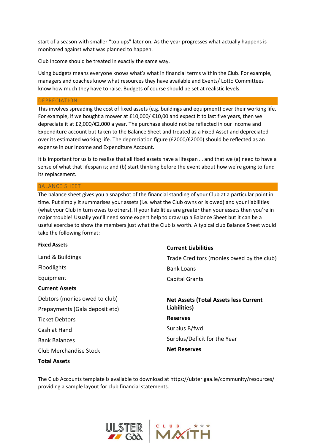start of a season with smaller "top ups" later on. As the year progresses what actually happens is monitored against what was planned to happen.

Club Income should be treated in exactly the same way.

Using budgets means everyone knows what's what in financial terms within the Club. For example, managers and coaches know what resources they have available and Events/ Lotto Committees know how much they have to raise. Budgets of course should be set at realistic levels.

#### DEPRECIATION

This involves spreading the cost of fixed assets (e.g. buildings and equipment) over their working life. For example, if we bought a mower at £10,000/ $\epsilon$ 10,00 and expect it to last five years, then we depreciate it at £2,000/€2,000 a year. The purchase should not be reflected in our Income and Expenditure account but taken to the Balance Sheet and treated as a Fixed Asset and depreciated over its estimated working life. The depreciation figure (£2000/€2000) should be reflected as an expense in our Income and Expenditure Account.

It is important for us is to realise that all fixed assets have a lifespan … and that we (a) need to have a sense of what that lifespan is; and (b) start thinking before the event about how we're going to fund its replacement.

#### BALANCE SHEET

The balance sheet gives you a snapshot of the financial standing of your Club at a particular point in time. Put simply it summarises your assets (i.e. what the Club owns or is owed) and your liabilities (what your Club in turn owes to others). If your liabilities are greater than your assets then you're in major trouble! Usually you'll need some expert help to draw up a Balance Sheet but it can be a useful exercise to show the members just what the Club is worth. A typical club Balance Sheet would take the following format:

| <b>Fixed Assets</b>            | <b>Current Liabilities</b>                   |
|--------------------------------|----------------------------------------------|
| Land & Buildings               | Trade Creditors (monies owed by the club)    |
| <b>Floodlights</b>             | <b>Bank Loans</b>                            |
| Equipment                      | Capital Grants                               |
| <b>Current Assets</b>          |                                              |
| Debtors (monies owed to club)  | <b>Net Assets (Total Assets less Current</b> |
| Prepayments (Gala deposit etc) | Liabilities)                                 |
| <b>Ticket Debtors</b>          | <b>Reserves</b>                              |
| Cash at Hand                   | Surplus B/fwd                                |
| <b>Bank Balances</b>           | Surplus/Deficit for the Year                 |
| <b>Club Merchandise Stock</b>  | <b>Net Reserves</b>                          |
|                                |                                              |

## **Total Assets**

The Club Accounts template is available to download at https://ulster.gaa.ie/community/resources/ providing a sample layout for club financial statements.



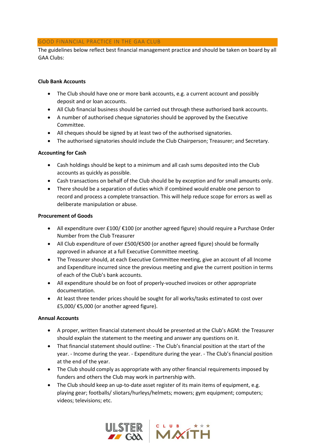## GOOD FINANCIAL PRACTICE IN THE GAA CLUB

The guidelines below reflect best financial management practice and should be taken on board by all GAA Clubs:

## **Club Bank Accounts**

- The Club should have one or more bank accounts, e.g. a current account and possibly deposit and or loan accounts.
- All Club financial business should be carried out through these authorised bank accounts.
- A number of authorised cheque signatories should be approved by the Executive Committee.
- All cheques should be signed by at least two of the authorised signatories.
- The authorised signatories should include the Club Chairperson; Treasurer; and Secretary.

## **Accounting for Cash**

- Cash holdings should be kept to a minimum and all cash sums deposited into the Club accounts as quickly as possible.
- Cash transactions on behalf of the Club should be by exception and for small amounts only.
- There should be a separation of duties which if combined would enable one person to record and process a complete transaction. This will help reduce scope for errors as well as deliberate manipulation or abuse.

## **Procurement of Goods**

- All expenditure over £100/ €100 (or another agreed figure) should require a Purchase Order Number from the Club Treasurer
- All Club expenditure of over £500/€500 (or another agreed figure) should be formally approved in advance at a full Executive Committee meeting.
- The Treasurer should, at each Executive Committee meeting, give an account of all Income and Expenditure incurred since the previous meeting and give the current position in terms of each of the Club's bank accounts.
- All expenditure should be on foot of properly-vouched invoices or other appropriate documentation.
- At least three tender prices should be sought for all works/tasks estimated to cost over £5,000/ €5,000 (or another agreed figure).

## **Annual Accounts**

- A proper, written financial statement should be presented at the Club's AGM: the Treasurer should explain the statement to the meeting and answer any questions on it.
- That financial statement should outline: The Club's financial position at the start of the year. - Income during the year. - Expenditure during the year. - The Club's financial position at the end of the year.
- The Club should comply as appropriate with any other financial requirements imposed by funders and others the Club may work in partnership with.
- The Club should keep an up-to-date asset register of its main items of equipment, e.g. playing gear; footballs/ sliotars/hurleys/helmets; mowers; gym equipment; computers; videos; televisions; etc.